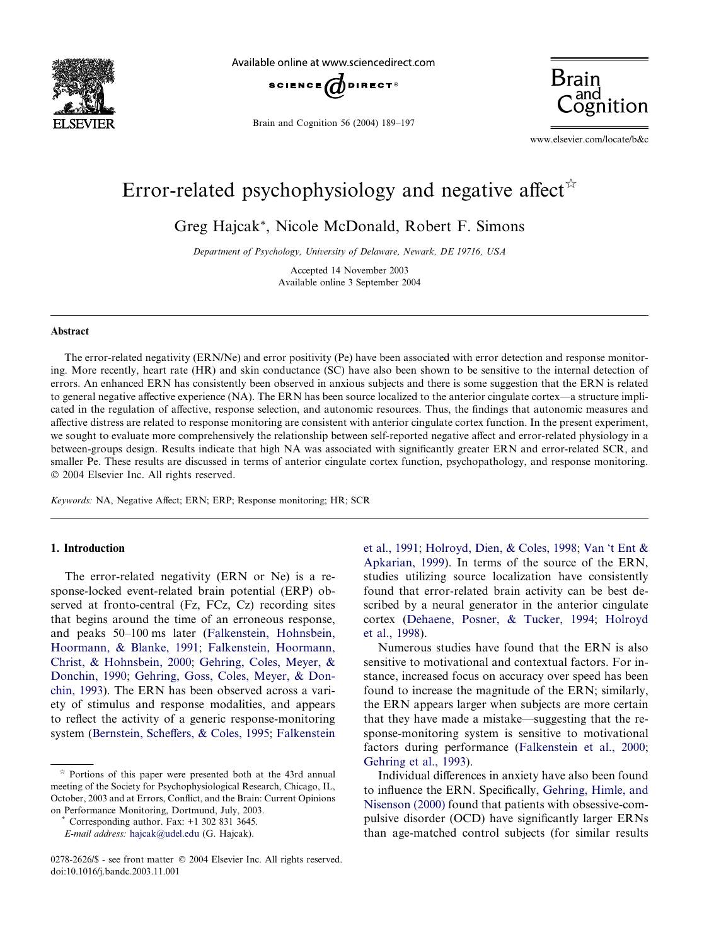

Available online at www.sciencedirect.com



Brain and Cognition 56 (2004) 189–197



www.elsevier.com/locate/b&c

## Error-related psychophysiology and negative affect<sup> $\hat{\pi}$ </sup>

Greg Hajcak\*, Nicole McDonald, Robert F. Simons

Department of Psychology, University of Delaware, Newark, DE 19716, USA

Accepted 14 November 2003 Available online 3 September 2004

## Abstract

The error-related negativity (ERN/Ne) and error positivity (Pe) have been associated with error detection and response monitoring. More recently, heart rate (HR) and skin conductance (SC) have also been shown to be sensitive to the internal detection of errors. An enhanced ERN has consistently been observed in anxious subjects and there is some suggestion that the ERN is related to general negative affective experience (NA). The ERN has been source localized to the anterior cingulate cortex—a structure implicated in the regulation of affective, response selection, and autonomic resources. Thus, the findings that autonomic measures and affective distress are related to response monitoring are consistent with anterior cingulate cortex function. In the present experiment, we sought to evaluate more comprehensively the relationship between self-reported negative affect and error-related physiology in a between-groups design. Results indicate that high NA was associated with significantly greater ERN and error-related SCR, and smaller Pe. These results are discussed in terms of anterior cingulate cortex function, psychopathology, and response monitoring. 2004 Elsevier Inc. All rights reserved.

Keywords: NA, Negative Affect; ERN; ERP; Response monitoring; HR; SCR

## 1. Introduction

The error-related negativity (ERN or Ne) is a response-locked event-related brain potential (ERP) observed at fronto-central (Fz, FCz, Cz) recording sites that begins around the time of an erroneous response, and peaks 50–100 ms later ([Falkenstein, Hohnsbein,](#page--1-0) [Hoormann, & Blanke, 1991](#page--1-0); [Falkenstein, Hoormann,](#page--1-0) [Christ, & Hohnsbein, 2000;](#page--1-0) [Gehring, Coles, Meyer, &](#page--1-0) [Donchin, 1990](#page--1-0); [Gehring, Goss, Coles, Meyer, & Don](#page--1-0)[chin, 1993\)](#page--1-0). The ERN has been observed across a variety of stimulus and response modalities, and appears to reflect the activity of a generic response-monitoring system [\(Bernstein, Scheffers, & Coles, 1995](#page--1-0); [Falkenstein](#page--1-0)

[et al., 1991;](#page--1-0) [Holroyd, Dien, & Coles, 1998;](#page--1-0) Van [t Ent &](#page--1-0) [Apkarian, 1999](#page--1-0)). In terms of the source of the ERN, studies utilizing source localization have consistently found that error-related brain activity can be best described by a neural generator in the anterior cingulate cortex ([Dehaene, Posner, & Tucker, 1994](#page--1-0); [Holroyd](#page--1-0) [et al., 1998\)](#page--1-0).

Numerous studies have found that the ERN is also sensitive to motivational and contextual factors. For instance, increased focus on accuracy over speed has been found to increase the magnitude of the ERN; similarly, the ERN appears larger when subjects are more certain that they have made a mistake—suggesting that the response-monitoring system is sensitive to motivational factors during performance ([Falkenstein et al., 2000;](#page--1-0) [Gehring et al., 1993](#page--1-0)).

Individual differences in anxiety have also been found to influence the ERN. Specifically, [Gehring, Himle, and](#page--1-0) [Nisenson \(2000\)](#page--1-0) found that patients with obsessive-compulsive disorder (OCD) have significantly larger ERNs than age-matched control subjects (for similar results

Portions of this paper were presented both at the 43rd annual meeting of the Society for Psychophysiological Research, Chicago, IL, October, 2003 and at Errors, Conflict, and the Brain: Current Opinions on Performance Monitoring, Dortmund, July, 2003. \* Corresponding author. Fax: +1 302 831 3645.

E-mail address: [hajcak@udel.edu](mailto:hajcak@udel.edu ) (G. Hajcak).

<sup>0278-2626/\$ -</sup> see front matter © 2004 Elsevier Inc. All rights reserved. doi:10.1016/j.bandc.2003.11.001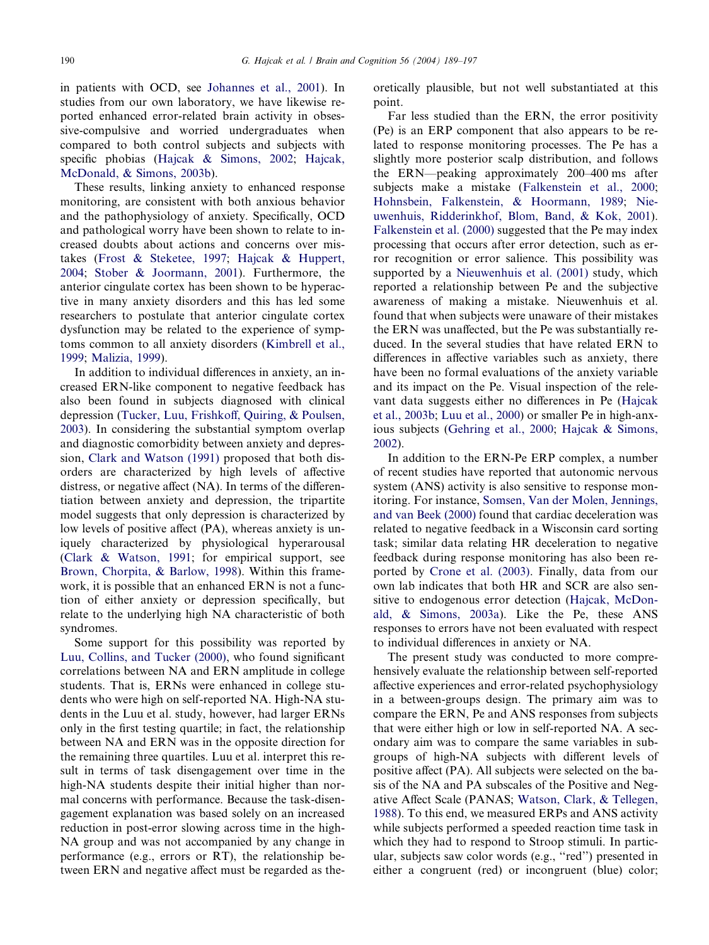in patients with OCD, see [Johannes et al., 2001](#page--1-0)). In studies from our own laboratory, we have likewise reported enhanced error-related brain activity in obsessive-compulsive and worried undergraduates when compared to both control subjects and subjects with specific phobias ([Hajcak & Simons, 2002](#page--1-0); [Hajcak,](#page--1-0) [McDonald, & Simons, 2003b](#page--1-0)).

These results, linking anxiety to enhanced response monitoring, are consistent with both anxious behavior and the pathophysiology of anxiety. Specifically, OCD and pathological worry have been shown to relate to increased doubts about actions and concerns over mistakes [\(Frost & Steketee, 1997](#page--1-0); [Hajcak & Huppert,](#page--1-0) [2004;](#page--1-0) [Stober & Joormann, 2001](#page--1-0)). Furthermore, the anterior cingulate cortex has been shown to be hyperactive in many anxiety disorders and this has led some researchers to postulate that anterior cingulate cortex dysfunction may be related to the experience of symptoms common to all anxiety disorders [\(Kimbrell et al.,](#page--1-0) [1999;](#page--1-0) [Malizia, 1999\)](#page--1-0).

In addition to individual differences in anxiety, an increased ERN-like component to negative feedback has also been found in subjects diagnosed with clinical depression ([Tucker, Luu, Frishkoff, Quiring, & Poulsen,](#page--1-0) [2003\)](#page--1-0). In considering the substantial symptom overlap and diagnostic comorbidity between anxiety and depression, [Clark and Watson \(1991\)](#page--1-0) proposed that both disorders are characterized by high levels of affective distress, or negative affect (NA). In terms of the differentiation between anxiety and depression, the tripartite model suggests that only depression is characterized by low levels of positive affect (PA), whereas anxiety is uniquely characterized by physiological hyperarousal ([Clark & Watson, 1991;](#page--1-0) for empirical support, see [Brown, Chorpita, & Barlow, 1998](#page--1-0)). Within this framework, it is possible that an enhanced ERN is not a function of either anxiety or depression specifically, but relate to the underlying high NA characteristic of both syndromes.

Some support for this possibility was reported by [Luu, Collins, and Tucker \(2000\)](#page--1-0), who found significant correlations between NA and ERN amplitude in college students. That is, ERNs were enhanced in college students who were high on self-reported NA. High-NA students in the Luu et al. study, however, had larger ERNs only in the first testing quartile; in fact, the relationship between NA and ERN was in the opposite direction for the remaining three quartiles. Luu et al. interpret this result in terms of task disengagement over time in the high-NA students despite their initial higher than normal concerns with performance. Because the task-disengagement explanation was based solely on an increased reduction in post-error slowing across time in the high-NA group and was not accompanied by any change in performance (e.g., errors or RT), the relationship between ERN and negative affect must be regarded as theoretically plausible, but not well substantiated at this point.

Far less studied than the ERN, the error positivity (Pe) is an ERP component that also appears to be related to response monitoring processes. The Pe has a slightly more posterior scalp distribution, and follows the ERN—peaking approximately 200–400 ms after subjects make a mistake [\(Falkenstein et al., 2000](#page--1-0); [Hohnsbein, Falkenstein, & Hoormann, 1989;](#page--1-0) [Nie](#page--1-0)[uwenhuis, Ridderinkhof, Blom, Band, & Kok, 2001\)](#page--1-0). [Falkenstein et al. \(2000\)](#page--1-0) suggested that the Pe may index processing that occurs after error detection, such as error recognition or error salience. This possibility was supported by a [Nieuwenhuis et al. \(2001\)](#page--1-0) study, which reported a relationship between Pe and the subjective awareness of making a mistake. Nieuwenhuis et al. found that when subjects were unaware of their mistakes the ERN was unaffected, but the Pe was substantially reduced. In the several studies that have related ERN to differences in affective variables such as anxiety, there have been no formal evaluations of the anxiety variable and its impact on the Pe. Visual inspection of the relevant data suggests either no differences in Pe ([Hajcak](#page--1-0) [et al., 2003b](#page--1-0); [Luu et al., 2000\)](#page--1-0) or smaller Pe in high-anxious subjects [\(Gehring et al., 2000;](#page--1-0) [Hajcak & Simons,](#page--1-0) [2002\)](#page--1-0).

In addition to the ERN-Pe ERP complex, a number of recent studies have reported that autonomic nervous system (ANS) activity is also sensitive to response monitoring. For instance, [Somsen, Van der Molen, Jennings,](#page--1-0) [and van Beek \(2000\)](#page--1-0) found that cardiac deceleration was related to negative feedback in a Wisconsin card sorting task; similar data relating HR deceleration to negative feedback during response monitoring has also been reported by [Crone et al. \(2003\)](#page--1-0). Finally, data from our own lab indicates that both HR and SCR are also sensitive to endogenous error detection [\(Hajcak, McDon](#page--1-0)[ald, & Simons, 2003a\)](#page--1-0). Like the Pe, these ANS responses to errors have not been evaluated with respect to individual differences in anxiety or NA.

The present study was conducted to more comprehensively evaluate the relationship between self-reported affective experiences and error-related psychophysiology in a between-groups design. The primary aim was to compare the ERN, Pe and ANS responses from subjects that were either high or low in self-reported NA. A secondary aim was to compare the same variables in subgroups of high-NA subjects with different levels of positive affect (PA). All subjects were selected on the basis of the NA and PA subscales of the Positive and Negative Affect Scale (PANAS; [Watson, Clark, & Tellegen,](#page--1-0) [1988\)](#page--1-0). To this end, we measured ERPs and ANS activity while subjects performed a speeded reaction time task in which they had to respond to Stroop stimuli. In particular, subjects saw color words (e.g., ''red'') presented in either a congruent (red) or incongruent (blue) color;